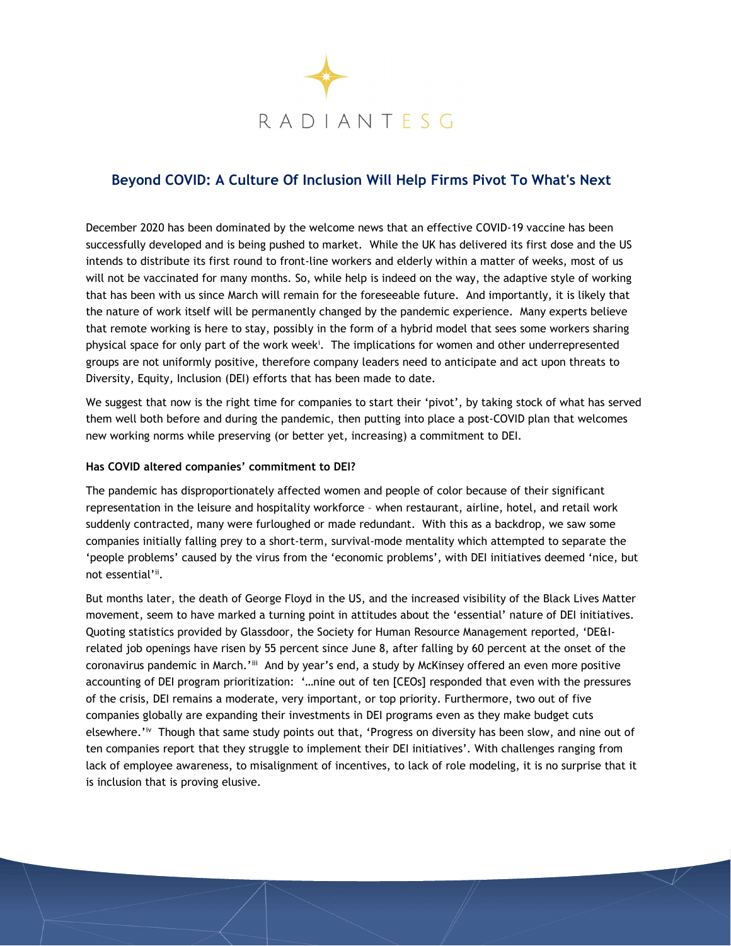

# Beyond COVID: A Culture Of Inclusion Will Help Firms Pivot To What's Next

December 2020 has been dominated by the welcome news that an effective COVID-19 vaccine has been successfully developed and is being pushed to market. While the UK has delivered its first dose and the US intends to distribute its first round to front-line workers and elderly within a matter of weeks, most of us will not be vaccinated for many months. So, while help is indeed on the way, the adaptive style of working that has been with us since March will remain for the foreseeable future. And importantly, it is likely that the nature of work itself will be permanently changed by the pandemic experience. Many experts believe that remote working is here to stay, possibly in the form of a hybrid model that sees some workers sharing physical space for only part of the work week<sup>i</sup>. The implications for women and other underrepresented groups are not uniformly positive, therefore company leaders need to anticipate and act upon threats to Diversity, Equity, Inclusion (DEI) efforts that has been made to date.

We suggest that now is the right time for companies to start their 'pivot', by taking stock of what has served them well both before and during the pandemic, then putting into place a post-COVID plan that welcomes new working norms while preserving (or better yet, increasing) a commitment to DEI.

#### Has COVID altered companies' commitment to DEI?

The pandemic has disproportionately affected women and people of color because of their significant representation in the leisure and hospitality workforce – when restaurant, airline, hotel, and retail work suddenly contracted, many were furloughed or made redundant. With this as a backdrop, we saw some companies initially falling prey to a short-term, survival-mode mentality which attempted to separate the 'people problems' caused by the virus from the 'economic problems', with DEI initiatives deemed 'nice, but not essential'ii.

But months later, the death of George Floyd in the US, and the increased visibility of the Black Lives Matter movement, seem to have marked a turning point in attitudes about the 'essential' nature of DEI initiatives. Quoting statistics provided by Glassdoor, the Society for Human Resource Management reported, 'DE&Irelated job openings have risen by 55 percent since June 8, after falling by 60 percent at the onset of the coronavirus pandemic in March.'iii And by year's end, a study by McKinsey offered an even more positive accounting of DEI program prioritization: '…nine out of ten [CEOs] responded that even with the pressures of the crisis, DEI remains a moderate, very important, or top priority. Furthermore, two out of five companies globally are expanding their investments in DEI programs even as they make budget cuts elsewhere.'iv Though that same study points out that, 'Progress on diversity has been slow, and nine out of ten companies report that they struggle to implement their DEI initiatives'. With challenges ranging from lack of employee awareness, to misalignment of incentives, to lack of role modeling, it is no surprise that it is inclusion that is proving elusive.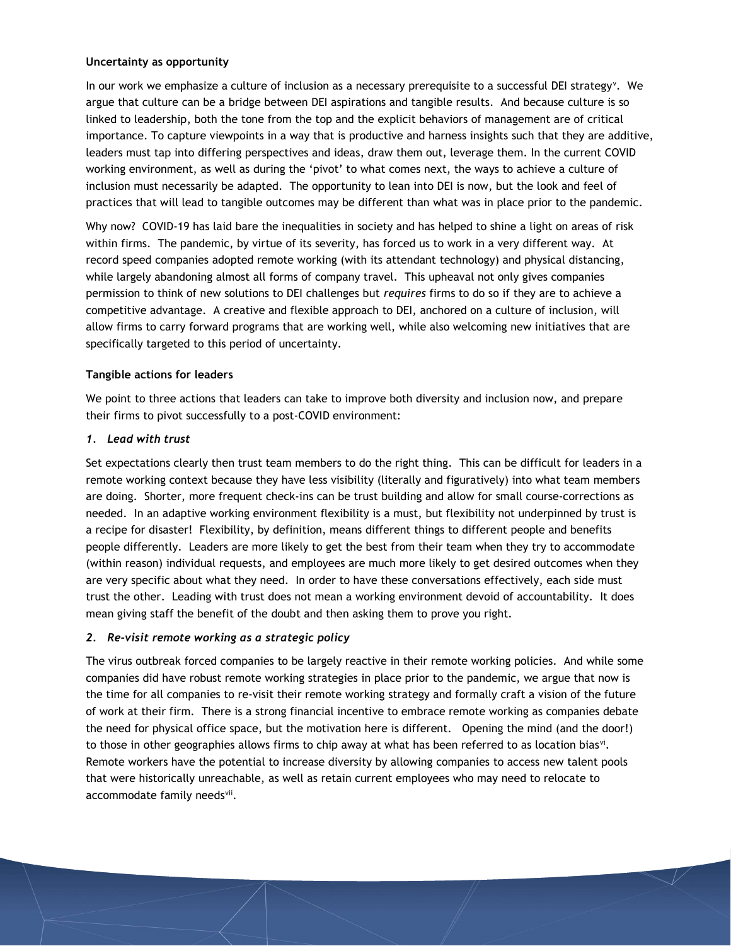### Uncertainty as opportunity

In our work we emphasize a culture of inclusion as a necessary prerequisite to a successful DEI strategy<sup>v</sup>. We argue that culture can be a bridge between DEI aspirations and tangible results. And because culture is so linked to leadership, both the tone from the top and the explicit behaviors of management are of critical importance. To capture viewpoints in a way that is productive and harness insights such that they are additive, leaders must tap into differing perspectives and ideas, draw them out, leverage them. In the current COVID working environment, as well as during the 'pivot' to what comes next, the ways to achieve a culture of inclusion must necessarily be adapted. The opportunity to lean into DEI is now, but the look and feel of practices that will lead to tangible outcomes may be different than what was in place prior to the pandemic.

Why now? COVID-19 has laid bare the inequalities in society and has helped to shine a light on areas of risk within firms. The pandemic, by virtue of its severity, has forced us to work in a very different way. At record speed companies adopted remote working (with its attendant technology) and physical distancing, while largely abandoning almost all forms of company travel. This upheaval not only gives companies permission to think of new solutions to DEI challenges but requires firms to do so if they are to achieve a competitive advantage. A creative and flexible approach to DEI, anchored on a culture of inclusion, will allow firms to carry forward programs that are working well, while also welcoming new initiatives that are specifically targeted to this period of uncertainty.

# Tangible actions for leaders

We point to three actions that leaders can take to improve both diversity and inclusion now, and prepare their firms to pivot successfully to a post-COVID environment:

#### 1. Lead with trust

Set expectations clearly then trust team members to do the right thing. This can be difficult for leaders in a remote working context because they have less visibility (literally and figuratively) into what team members are doing. Shorter, more frequent check-ins can be trust building and allow for small course-corrections as needed. In an adaptive working environment flexibility is a must, but flexibility not underpinned by trust is a recipe for disaster! Flexibility, by definition, means different things to different people and benefits people differently. Leaders are more likely to get the best from their team when they try to accommodate (within reason) individual requests, and employees are much more likely to get desired outcomes when they are very specific about what they need. In order to have these conversations effectively, each side must trust the other. Leading with trust does not mean a working environment devoid of accountability. It does mean giving staff the benefit of the doubt and then asking them to prove you right.

# 2. Re-visit remote working as a strategic policy

The virus outbreak forced companies to be largely reactive in their remote working policies. And while some companies did have robust remote working strategies in place prior to the pandemic, we argue that now is the time for all companies to re-visit their remote working strategy and formally craft a vision of the future of work at their firm. There is a strong financial incentive to embrace remote working as companies debate the need for physical office space, but the motivation here is different. Opening the mind (and the door!) to those in other geographies allows firms to chip away at what has been referred to as location bias<sup>vi</sup>. Remote workers have the potential to increase diversity by allowing companies to access new talent pools that were historically unreachable, as well as retain current employees who may need to relocate to accommodate family needsvii.